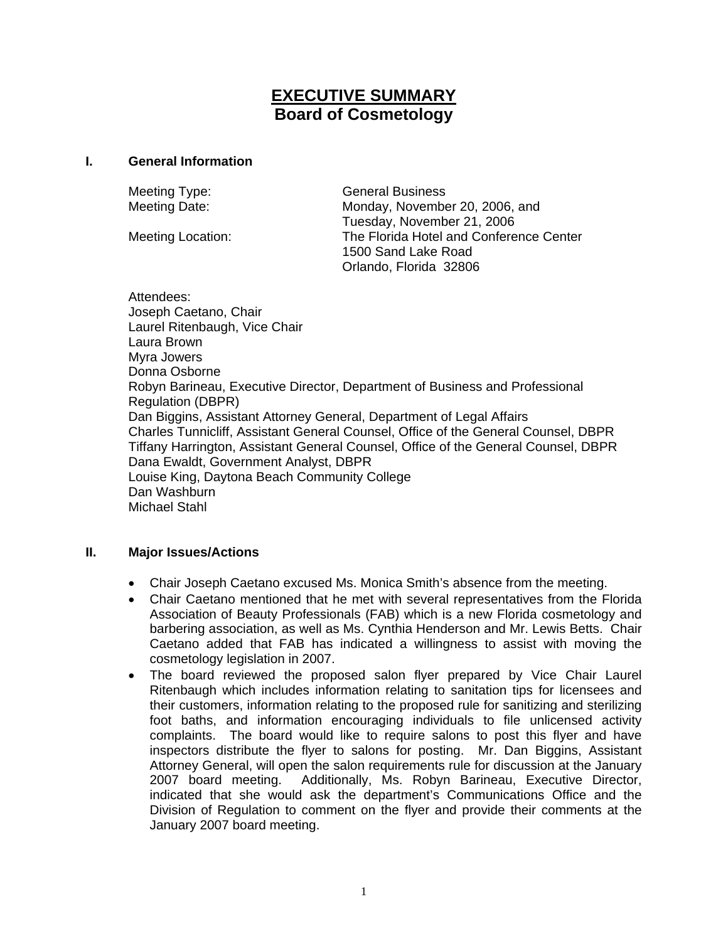# **EXECUTIVE SUMMARY Board of Cosmetology**

#### **I. General Information**

Meeting Type: General Business Meeting Date: Monday, November 20, 2006, and Tuesday, November 21, 2006 Meeting Location: The Florida Hotel and Conference Center 1500 Sand Lake Road Orlando, Florida 32806

Attendees: Joseph Caetano, Chair Laurel Ritenbaugh, Vice Chair Laura Brown Myra Jowers Donna Osborne Robyn Barineau, Executive Director, Department of Business and Professional Regulation (DBPR) Dan Biggins, Assistant Attorney General, Department of Legal Affairs Charles Tunnicliff, Assistant General Counsel, Office of the General Counsel, DBPR Tiffany Harrington, Assistant General Counsel, Office of the General Counsel, DBPR Dana Ewaldt, Government Analyst, DBPR Louise King, Daytona Beach Community College Dan Washburn Michael Stahl

### **II. Major Issues/Actions**

- Chair Joseph Caetano excused Ms. Monica Smith's absence from the meeting.
- Chair Caetano mentioned that he met with several representatives from the Florida Association of Beauty Professionals (FAB) which is a new Florida cosmetology and barbering association, as well as Ms. Cynthia Henderson and Mr. Lewis Betts. Chair Caetano added that FAB has indicated a willingness to assist with moving the cosmetology legislation in 2007.
- The board reviewed the proposed salon flyer prepared by Vice Chair Laurel Ritenbaugh which includes information relating to sanitation tips for licensees and their customers, information relating to the proposed rule for sanitizing and sterilizing foot baths, and information encouraging individuals to file unlicensed activity complaints. The board would like to require salons to post this flyer and have inspectors distribute the flyer to salons for posting. Mr. Dan Biggins, Assistant Attorney General, will open the salon requirements rule for discussion at the January 2007 board meeting. Additionally, Ms. Robyn Barineau, Executive Director, indicated that she would ask the department's Communications Office and the Division of Regulation to comment on the flyer and provide their comments at the January 2007 board meeting.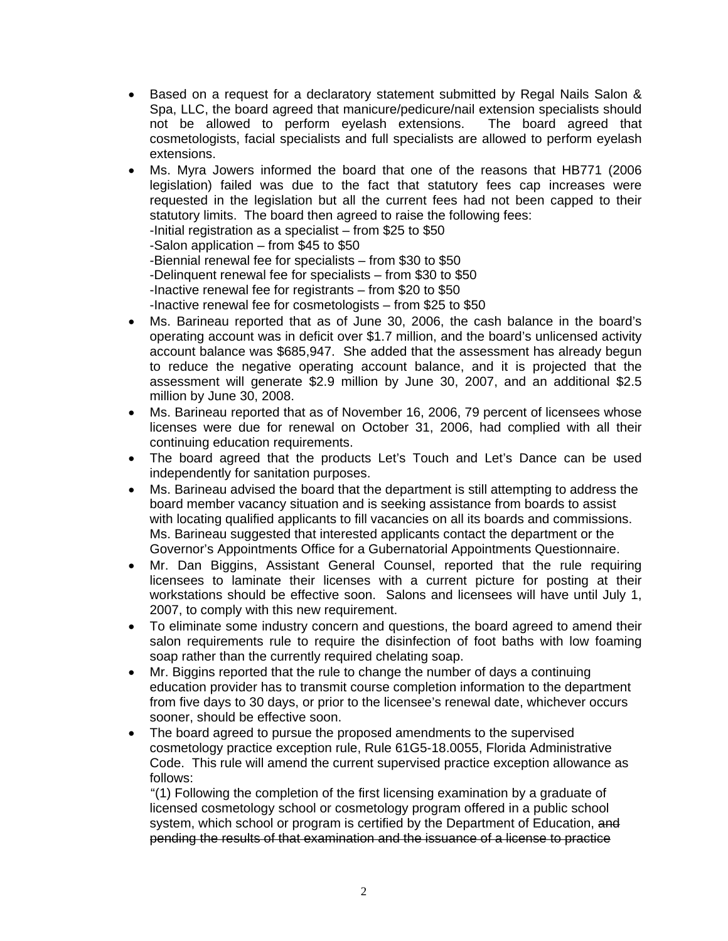- Based on a request for a declaratory statement submitted by Regal Nails Salon & Spa, LLC, the board agreed that manicure/pedicure/nail extension specialists should not be allowed to perform eyelash extensions. The board agreed that cosmetologists, facial specialists and full specialists are allowed to perform eyelash extensions.
- Ms. Myra Jowers informed the board that one of the reasons that HB771 (2006 legislation) failed was due to the fact that statutory fees cap increases were requested in the legislation but all the current fees had not been capped to their statutory limits. The board then agreed to raise the following fees: -Initial registration as a specialist – from \$25 to \$50 -Salon application – from \$45 to \$50 -Biennial renewal fee for specialists – from \$30 to \$50 -Delinquent renewal fee for specialists – from \$30 to \$50 -Inactive renewal fee for registrants – from \$20 to \$50 -Inactive renewal fee for cosmetologists – from \$25 to \$50
- Ms. Barineau reported that as of June 30, 2006, the cash balance in the board's operating account was in deficit over \$1.7 million, and the board's unlicensed activity account balance was \$685,947. She added that the assessment has already begun to reduce the negative operating account balance, and it is projected that the assessment will generate \$2.9 million by June 30, 2007, and an additional \$2.5 million by June 30, 2008.
- Ms. Barineau reported that as of November 16, 2006, 79 percent of licensees whose licenses were due for renewal on October 31, 2006, had complied with all their continuing education requirements.
- The board agreed that the products Let's Touch and Let's Dance can be used independently for sanitation purposes.
- Ms. Barineau advised the board that the department is still attempting to address the board member vacancy situation and is seeking assistance from boards to assist with locating qualified applicants to fill vacancies on all its boards and commissions. Ms. Barineau suggested that interested applicants contact the department or the Governor's Appointments Office for a Gubernatorial Appointments Questionnaire.
- Mr. Dan Biggins, Assistant General Counsel, reported that the rule requiring licensees to laminate their licenses with a current picture for posting at their workstations should be effective soon. Salons and licensees will have until July 1, 2007, to comply with this new requirement.
- To eliminate some industry concern and questions, the board agreed to amend their salon requirements rule to require the disinfection of foot baths with low foaming soap rather than the currently required chelating soap.
- Mr. Biggins reported that the rule to change the number of days a continuing education provider has to transmit course completion information to the department from five days to 30 days, or prior to the licensee's renewal date, whichever occurs sooner, should be effective soon.
- The board agreed to pursue the proposed amendments to the supervised cosmetology practice exception rule, Rule 61G5-18.0055, Florida Administrative Code. This rule will amend the current supervised practice exception allowance as follows:

"(1) Following the completion of the first licensing examination by a graduate of licensed cosmetology school or cosmetology program offered in a public school system, which school or program is certified by the Department of Education, and pending the results of that examination and the issuance of a license to practice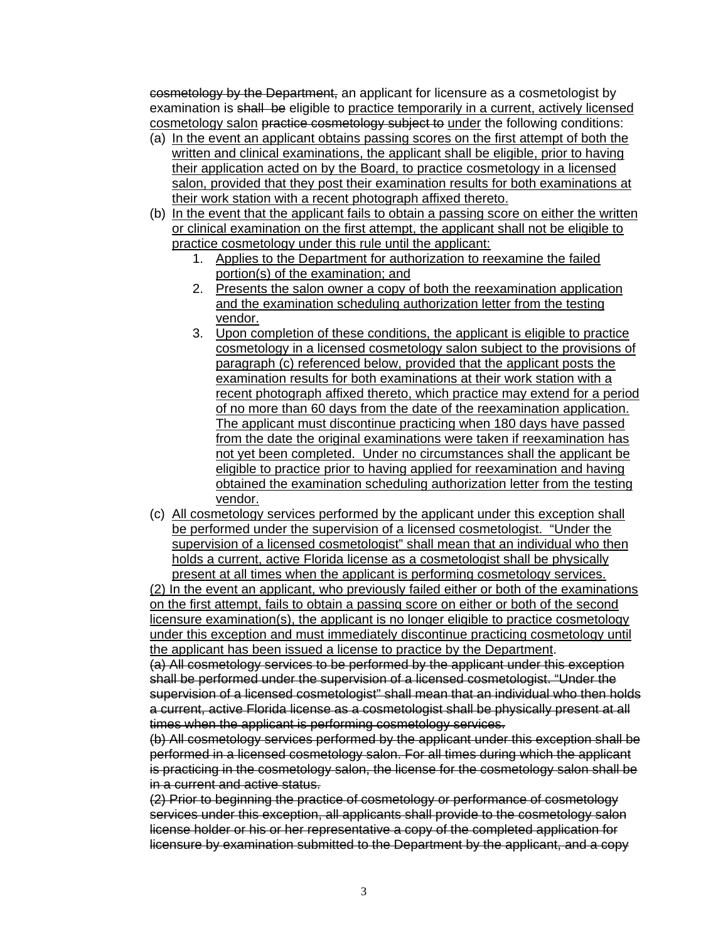cosmetology by the Department, an applicant for licensure as a cosmetologist by examination is shall be eligible to practice temporarily in a current, actively licensed cosmetology salon practice cosmetology subject to under the following conditions:

- (a) In the event an applicant obtains passing scores on the first attempt of both the written and clinical examinations, the applicant shall be eligible, prior to having their application acted on by the Board, to practice cosmetology in a licensed salon, provided that they post their examination results for both examinations at their work station with a recent photograph affixed thereto.
- (b) In the event that the applicant fails to obtain a passing score on either the written or clinical examination on the first attempt, the applicant shall not be eligible to practice cosmetology under this rule until the applicant:
	- 1. Applies to the Department for authorization to reexamine the failed portion(s) of the examination; and
	- 2. Presents the salon owner a copy of both the reexamination application and the examination scheduling authorization letter from the testing vendor.
	- 3. Upon completion of these conditions, the applicant is eligible to practice cosmetology in a licensed cosmetology salon subject to the provisions of paragraph (c) referenced below, provided that the applicant posts the examination results for both examinations at their work station with a recent photograph affixed thereto, which practice may extend for a period of no more than 60 days from the date of the reexamination application. The applicant must discontinue practicing when 180 days have passed from the date the original examinations were taken if reexamination has not yet been completed. Under no circumstances shall the applicant be eligible to practice prior to having applied for reexamination and having obtained the examination scheduling authorization letter from the testing vendor.
- (c) All cosmetology services performed by the applicant under this exception shall be performed under the supervision of a licensed cosmetologist. "Under the supervision of a licensed cosmetologist" shall mean that an individual who then holds a current, active Florida license as a cosmetologist shall be physically present at all times when the applicant is performing cosmetology services.

(2) In the event an applicant, who previously failed either or both of the examinations on the first attempt, fails to obtain a passing score on either or both of the second licensure examination(s), the applicant is no longer eligible to practice cosmetology under this exception and must immediately discontinue practicing cosmetology until the applicant has been issued a license to practice by the Department.

(a) All cosmetology services to be performed by the applicant under this exception shall be performed under the supervision of a licensed cosmetologist. "Under the supervision of a licensed cosmetologist" shall mean that an individual who then holds a current, active Florida license as a cosmetologist shall be physically present at all times when the applicant is performing cosmetology services.

(b) All cosmetology services performed by the applicant under this exception shall be performed in a licensed cosmetology salon. For all times during which the applicant is practicing in the cosmetology salon, the license for the cosmetology salon shall be in a current and active status.

(2) Prior to beginning the practice of cosmetology or performance of cosmetology services under this exception, all applicants shall provide to the cosmetology salon license holder or his or her representative a copy of the completed application for licensure by examination submitted to the Department by the applicant, and a copy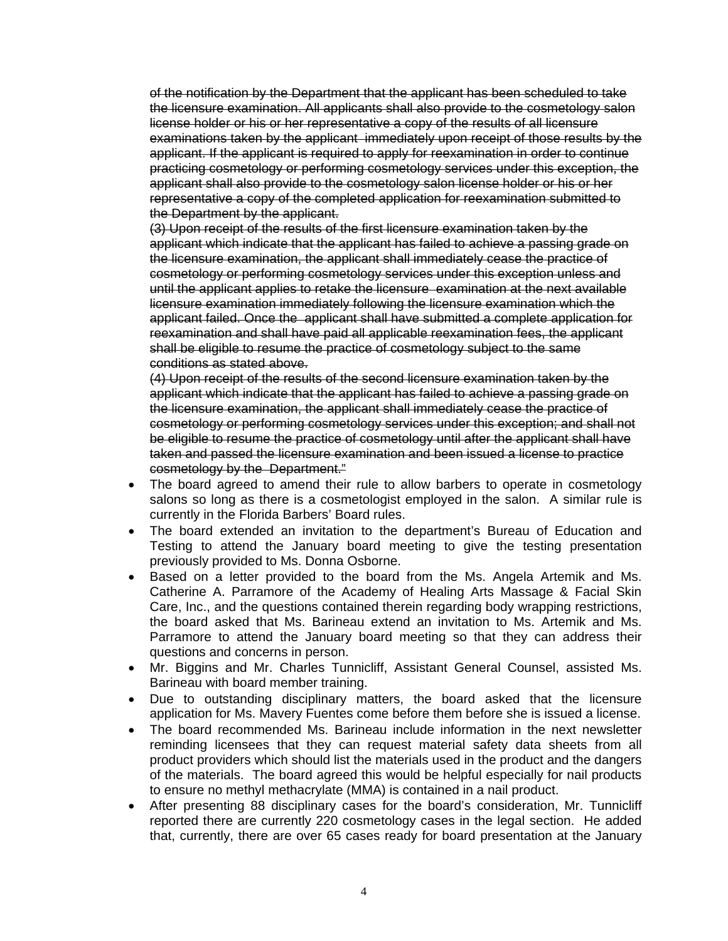of the notification by the Department that the applicant has been scheduled to take the licensure examination. All applicants shall also provide to the cosmetology salon license holder or his or her representative a copy of the results of all licensure examinations taken by the applicant immediately upon receipt of those results by the applicant. If the applicant is required to apply for reexamination in order to continue practicing cosmetology or performing cosmetology services under this exception, the applicant shall also provide to the cosmetology salon license holder or his or her representative a copy of the completed application for reexamination submitted to the Department by the applicant.

(3) Upon receipt of the results of the first licensure examination taken by the applicant which indicate that the applicant has failed to achieve a passing grade on the licensure examination, the applicant shall immediately cease the practice of cosmetology or performing cosmetology services under this exception unless and until the applicant applies to retake the licensure examination at the next available licensure examination immediately following the licensure examination which the applicant failed. Once the applicant shall have submitted a complete application for reexamination and shall have paid all applicable reexamination fees, the applicant shall be eligible to resume the practice of cosmetology subject to the same conditions as stated above.

(4) Upon receipt of the results of the second licensure examination taken by the applicant which indicate that the applicant has failed to achieve a passing grade on the licensure examination, the applicant shall immediately cease the practice of cosmetology or performing cosmetology services under this exception; and shall not be eligible to resume the practice of cosmetology until after the applicant shall have taken and passed the licensure examination and been issued a license to practice cosmetology by the Department."

- The board agreed to amend their rule to allow barbers to operate in cosmetology salons so long as there is a cosmetologist employed in the salon. A similar rule is currently in the Florida Barbers' Board rules.
- The board extended an invitation to the department's Bureau of Education and Testing to attend the January board meeting to give the testing presentation previously provided to Ms. Donna Osborne.
- Based on a letter provided to the board from the Ms. Angela Artemik and Ms. Catherine A. Parramore of the Academy of Healing Arts Massage & Facial Skin Care, Inc., and the questions contained therein regarding body wrapping restrictions, the board asked that Ms. Barineau extend an invitation to Ms. Artemik and Ms. Parramore to attend the January board meeting so that they can address their questions and concerns in person.
- Mr. Biggins and Mr. Charles Tunnicliff, Assistant General Counsel, assisted Ms. Barineau with board member training.
- Due to outstanding disciplinary matters, the board asked that the licensure application for Ms. Mavery Fuentes come before them before she is issued a license.
- The board recommended Ms. Barineau include information in the next newsletter reminding licensees that they can request material safety data sheets from all product providers which should list the materials used in the product and the dangers of the materials. The board agreed this would be helpful especially for nail products to ensure no methyl methacrylate (MMA) is contained in a nail product.
- After presenting 88 disciplinary cases for the board's consideration, Mr. Tunnicliff reported there are currently 220 cosmetology cases in the legal section. He added that, currently, there are over 65 cases ready for board presentation at the January